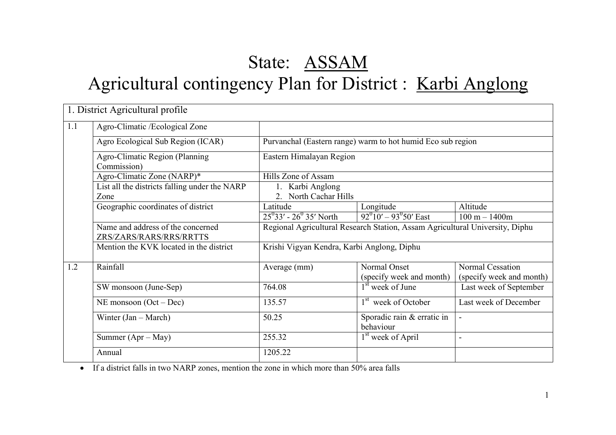# State: ASSAM Agricultural contingency Plan for District : Karbi Anglong

|     | 1. District Agricultural profile                             |                                                                              |                                          |                                                     |  |  |  |
|-----|--------------------------------------------------------------|------------------------------------------------------------------------------|------------------------------------------|-----------------------------------------------------|--|--|--|
| 1.1 | Agro-Climatic /Ecological Zone                               |                                                                              |                                          |                                                     |  |  |  |
|     | Agro Ecological Sub Region (ICAR)                            | Purvanchal (Eastern range) warm to hot humid Eco sub region                  |                                          |                                                     |  |  |  |
|     | Agro-Climatic Region (Planning<br>Commission)                | Eastern Himalayan Region                                                     |                                          |                                                     |  |  |  |
|     | Agro-Climatic Zone (NARP)*                                   | Hills Zone of Assam                                                          |                                          |                                                     |  |  |  |
|     | List all the districts falling under the NARP<br>Zone        | 1. Karbi Anglong<br>2. North Cachar Hills                                    |                                          |                                                     |  |  |  |
|     | Geographic coordinates of district                           | Latitude                                                                     | Longitude                                | Altitude                                            |  |  |  |
|     |                                                              | $25^{0}33'$ - $26^{0}35'$ North                                              | $92^{0}10' - 93^{0}50'$ East             | $100 m - 1400m$                                     |  |  |  |
|     | Name and address of the concerned<br>ZRS/ZARS/RARS/RRS/RRTTS | Regional Agricultural Research Station, Assam Agricultural University, Diphu |                                          |                                                     |  |  |  |
|     | Mention the KVK located in the district                      | Krishi Vigyan Kendra, Karbi Anglong, Diphu                                   |                                          |                                                     |  |  |  |
| 1.2 | Rainfall                                                     | Average (mm)                                                                 | Normal Onset<br>(specify week and month) | <b>Normal Cessation</b><br>(specify week and month) |  |  |  |
|     | SW monsoon (June-Sep)                                        | 764.08                                                                       | 1 <sup>st</sup> week of June             | Last week of September                              |  |  |  |
|     | NE monsoon $(Oct - Dec)$                                     | 135.57                                                                       | 1 <sup>st</sup> week of October          | Last week of December                               |  |  |  |
|     | Winter $(Jan - March)$                                       | 50.25                                                                        | Sporadic rain & erratic in<br>behaviour  | $\blacksquare$                                      |  |  |  |
|     | Summer $(Apr - May)$                                         | 255.32                                                                       | 1 <sup>st</sup> week of April            | $\overline{\phantom{a}}$                            |  |  |  |
|     | Annual                                                       | 1205.22                                                                      |                                          |                                                     |  |  |  |

• If a district falls in two NARP zones, mention the zone in which more than 50% area falls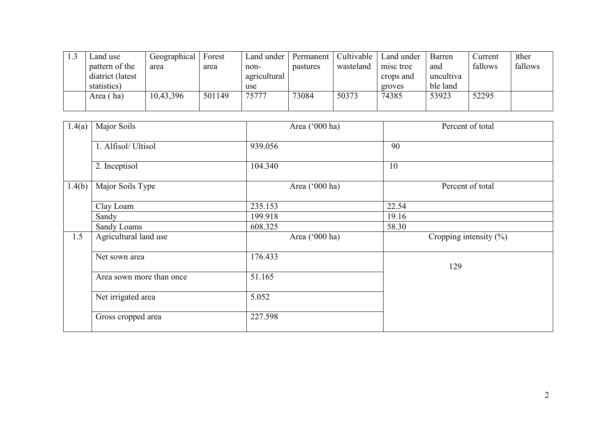| ∟and use         | Geographical | Forest | Land under   | Permanent | Cultivable | Land under | Barren    | Current | )ther   |
|------------------|--------------|--------|--------------|-----------|------------|------------|-----------|---------|---------|
| pattern of the   | area         | area   | non-         | pastures  | wasteland  | misc tree  | and       | fallows | fallows |
| diatrict (latest |              |        | agricultural |           |            | crops and  | uncultiva |         |         |
| statistics)      |              |        | use          |           |            | groves     | ble land  |         |         |
| Area (ha)        | 10,43,396    | 501149 | 75777        | 73084     | 50373      | 74385      | 53923     | 52295   |         |
|                  |              |        |              |           |            |            |           |         |         |

| 1.4(a) | Major Soils              | Area ('000 ha) | Percent of total           |
|--------|--------------------------|----------------|----------------------------|
|        | 1. Alfisol/ Ultisol      | 939.056        | 90                         |
|        | 2. Inceptisol            | 104.340        | 10                         |
| 1.4(b) | Major Soils Type         | Area ('000 ha) | Percent of total           |
|        | Clay Loam                | 235.153        | 22.54                      |
|        | Sandy                    | 199.918        | 19.16                      |
|        | Sandy Loams              | 608.325        | 58.30                      |
| 1.5    | Agricultural land use    | Area ('000 ha) | Cropping intensity $(\% )$ |
|        | Net sown area            | 176.433        | 129                        |
|        | Area sown more than once | 51.165         |                            |
|        | Net irrigated area       | 5.052          |                            |
|        | Gross cropped area       | 227.598        |                            |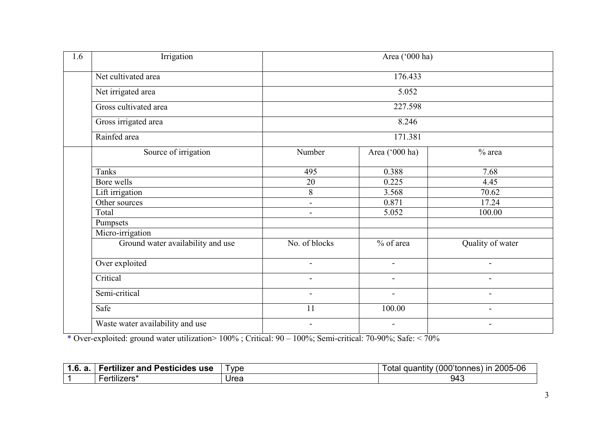| 1.6 | Irrigation                        |                          | Area ('000 ha)           |                          |
|-----|-----------------------------------|--------------------------|--------------------------|--------------------------|
|     | Net cultivated area               |                          |                          |                          |
|     | Net irrigated area                |                          | 5.052                    |                          |
|     | Gross cultivated area             |                          | 227.598                  |                          |
|     | Gross irrigated area              |                          | 8.246                    |                          |
|     | Rainfed area                      |                          | 171.381                  |                          |
|     | Source of irrigation              | Number                   | Area ('000 ha)           | $%$ area                 |
|     | <b>Tanks</b>                      | 495                      | 0.388                    | 7.68                     |
|     | Bore wells                        | 20                       | 0.225                    | 4.45                     |
|     | Lift irrigation                   | 8                        | 3.568                    | 70.62                    |
|     | Other sources                     | $\overline{a}$           | 0.871                    | 17.24                    |
|     | Total                             | $\overline{\phantom{0}}$ | 5.052                    | 100.00                   |
|     | Pumpsets                          |                          |                          |                          |
|     | Micro-irrigation                  |                          |                          |                          |
|     | Ground water availability and use | No. of blocks            | $%$ of area              | Quality of water         |
|     | Over exploited                    | $\blacksquare$           | $\overline{\phantom{a}}$ | $\overline{\phantom{a}}$ |
|     | Critical                          | $\overline{\phantom{0}}$ | $\overline{\phantom{a}}$ | $\overline{\phantom{a}}$ |
|     | Semi-critical                     | $\overline{\phantom{0}}$ | $\overline{\phantom{a}}$ | $\blacksquare$           |
|     | Safe                              | 11                       | 100.00                   | $\overline{\phantom{a}}$ |
|     | Waste water availability and use  | $\overline{\phantom{a}}$ | $\overline{\phantom{a}}$ | $\overline{\phantom{a}}$ |

\* Over-exploited: ground water utilization> 100% ; Critical: 90 – 100%; Semi-critical: 70-90%; Safe: < 70%

| <br>. .<br>-<br>- ort<br>. Pesticides<br>tilizer and<br>use | vpe  | (000'tonnes)<br>2005-06<br>.<br>quantity<br>ır<br>otal |
|-------------------------------------------------------------|------|--------------------------------------------------------|
| <br>ertilizers'                                             | Urea | 943                                                    |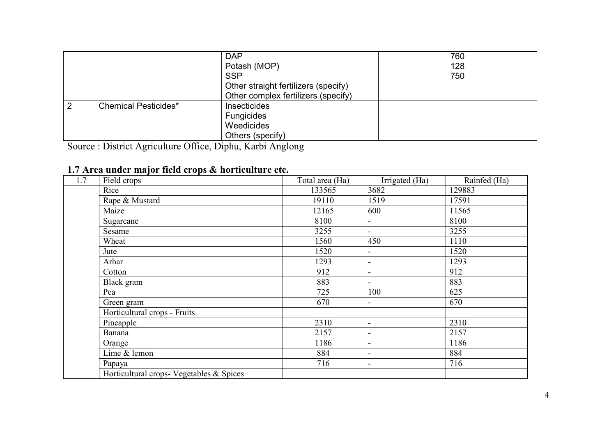|   |                             | <b>DAP</b>                           | 760 |
|---|-----------------------------|--------------------------------------|-----|
|   |                             | Potash (MOP)                         | 128 |
|   |                             | <b>SSP</b>                           | 750 |
|   |                             | Other straight fertilizers (specify) |     |
|   |                             | Other complex fertilizers (specify)  |     |
| 2 | <b>Chemical Pesticides*</b> | Insecticides                         |     |
|   |                             | Fungicides                           |     |
|   |                             | Weedicides                           |     |
|   |                             | Others (specify)                     |     |

Others (specify) Source : District Agriculture Office, Diphu, Karbi Anglong

#### 1.7 Area under major field crops & horticulture etc.

| 1.7 | Field crops                              | Total area (Ha) | Irrigated (Ha)               | Rainfed (Ha) |
|-----|------------------------------------------|-----------------|------------------------------|--------------|
|     | Rice                                     | 133565          | 3682                         | 129883       |
|     | Rape & Mustard                           | 19110           | 1519                         | 17591        |
|     | Maize                                    | 12165           | 600                          | 11565        |
|     | Sugarcane                                | 8100            | $\overline{\phantom{a}}$     | 8100         |
|     | Sesame                                   | 3255            |                              | 3255         |
|     | Wheat                                    | 1560            | 450                          | 1110         |
|     | Jute                                     | 1520            | $\overline{\phantom{a}}$     | 1520         |
|     | Arhar                                    | 1293            | $\overline{\phantom{a}}$     | 1293         |
|     | Cotton                                   | 912             |                              | 912          |
|     | Black gram                               | 883             |                              | 883          |
|     | Pea                                      | 725             | 100                          | 625          |
|     | Green gram                               | 670             |                              | 670          |
|     | Horticultural crops - Fruits             |                 |                              |              |
|     | Pineapple                                | 2310            | $\overline{\phantom{a}}$     | 2310         |
|     | Banana                                   | 2157            | $\overline{\phantom{a}}$     | 2157         |
|     | Orange                                   | 1186            | $\qquad \qquad$              | 1186         |
|     | Lime & lemon                             | 884             | $\qquad \qquad \blacksquare$ | 884          |
|     | Papaya                                   | 716             | $\overline{\phantom{a}}$     | 716          |
|     | Horticultural crops- Vegetables & Spices |                 |                              |              |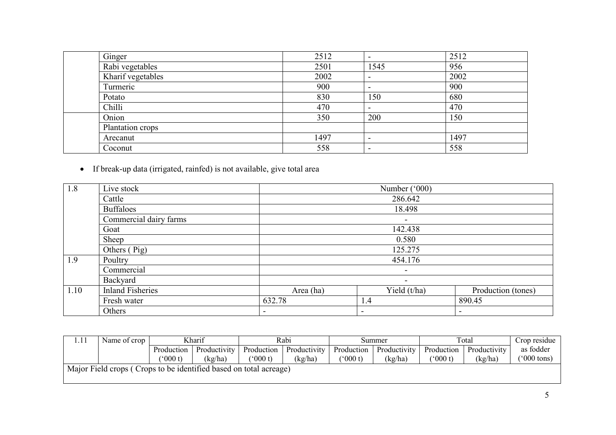| Ginger            | 2512 | $\overline{\phantom{a}}$ | 2512 |
|-------------------|------|--------------------------|------|
| Rabi vegetables   | 2501 | 1545                     | 956  |
| Kharif vegetables | 2002 |                          | 2002 |
| Turmeric          | 900  | $\,$                     | 900  |
| Potato            | 830  | 150                      | 680  |
| Chilli            | 470  | $\overline{\phantom{a}}$ | 470  |
| Onion             | 350  | 200                      | 150  |
| Plantation crops  |      |                          |      |
| Arecanut          | 1497 | $\overline{\phantom{a}}$ | 1497 |
| Coconut           | 558  | $\overline{\phantom{a}}$ | 558  |

• If break-up data (irrigated, rainfed) is not available, give total area

| 1.8  | Live stock              |                          | Number ('000)            |                          |  |  |  |  |
|------|-------------------------|--------------------------|--------------------------|--------------------------|--|--|--|--|
|      | Cattle                  | 286.642                  |                          |                          |  |  |  |  |
|      | <b>Buffaloes</b>        |                          | 18.498                   |                          |  |  |  |  |
|      | Commercial dairy farms  |                          | $\overline{\phantom{a}}$ |                          |  |  |  |  |
|      | Goat                    |                          | 142.438                  |                          |  |  |  |  |
|      | Sheep                   |                          | 0.580                    |                          |  |  |  |  |
|      | Others (Pig)            |                          | 125.275                  |                          |  |  |  |  |
| 1.9  | Poultry                 |                          | 454.176                  |                          |  |  |  |  |
|      | Commercial              |                          | $\overline{\phantom{m}}$ |                          |  |  |  |  |
|      | Backyard                |                          | $\overline{\phantom{a}}$ |                          |  |  |  |  |
| 1.10 | <b>Inland Fisheries</b> | Area (ha)                | Yield (t/ha)             | Production (tones)       |  |  |  |  |
|      | Fresh water             | 632.78                   | 1.4                      | 890.45                   |  |  |  |  |
|      | Others                  | $\overline{\phantom{a}}$ | $\overline{\phantom{a}}$ | $\overline{\phantom{a}}$ |  |  |  |  |

| 1.11                                                              | Name of crop | Kharif           |              | Rabi                      |              | Summer     |              | Total      |              | Crop residue          |
|-------------------------------------------------------------------|--------------|------------------|--------------|---------------------------|--------------|------------|--------------|------------|--------------|-----------------------|
|                                                                   |              | Production       | Productivity | Production                | Productivity | Production | Productivity | Production | Productivity | as fodder             |
|                                                                   |              | $^{\circ}000$ t) | (kg/ha)      | $^{\prime\prime}$ (000 t) | (kg/ha)      | (000 t)    | (kg/ha)      | (000 t)    | (kg/ha)      | $(5000 \text{ tons})$ |
| Major Field crops (Crops to be identified based on total acreage) |              |                  |              |                           |              |            |              |            |              |                       |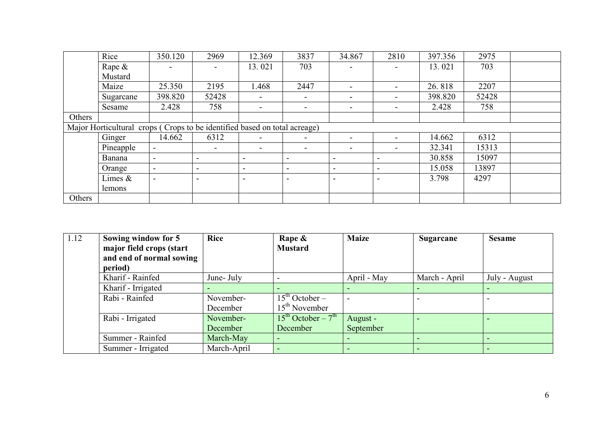|        | Rice                                                                      | 350.120 | 2969                     | 12.369                   | 3837                     | 34.867                   | 2810                     | 397.356 | 2975  |  |
|--------|---------------------------------------------------------------------------|---------|--------------------------|--------------------------|--------------------------|--------------------------|--------------------------|---------|-------|--|
|        | Rape $\&$                                                                 |         |                          | 13.021                   | 703                      |                          |                          | 13.021  | 703   |  |
|        | Mustard                                                                   |         |                          |                          |                          |                          |                          |         |       |  |
|        | Maize                                                                     | 25.350  | 2195                     | 1.468                    | 2447                     |                          | $\overline{\phantom{a}}$ | 26.818  | 2207  |  |
|        | Sugarcane                                                                 | 398.820 | 52428                    |                          | $\qquad \qquad$          | $\overline{\phantom{a}}$ | $\overline{\phantom{a}}$ | 398.820 | 52428 |  |
|        | Sesame                                                                    | 2.428   | 758                      |                          | $\overline{\phantom{a}}$ | $\blacksquare$           | $\overline{\phantom{a}}$ | 2.428   | 758   |  |
| Others |                                                                           |         |                          |                          |                          |                          |                          |         |       |  |
|        | Major Horticultural crops (Crops to be identified based on total acreage) |         |                          |                          |                          |                          |                          |         |       |  |
|        | Ginger                                                                    | 14.662  | 6312                     |                          | $\qquad \qquad$          | $\overline{\phantom{0}}$ | $\overline{\phantom{a}}$ | 14.662  | 6312  |  |
|        | Pineapple                                                                 |         | $\overline{\phantom{a}}$ |                          | $\overline{\phantom{a}}$ | $\overline{\phantom{a}}$ | $\overline{\phantom{a}}$ | 32.341  | 15313 |  |
|        | Banana                                                                    |         | $\overline{\phantom{0}}$ | $\overline{\phantom{0}}$ |                          | $\overline{\phantom{0}}$ | $\overline{\phantom{a}}$ | 30.858  | 15097 |  |
|        | Orange                                                                    |         | $\qquad \qquad$          |                          |                          |                          | $\overline{\phantom{a}}$ | 15.058  | 13897 |  |
|        | Limes &                                                                   |         | $\blacksquare$           |                          |                          |                          |                          | 3.798   | 4297  |  |
|        | lemons                                                                    |         |                          |                          |                          |                          |                          |         |       |  |
| Others |                                                                           |         |                          |                          |                          |                          |                          |         |       |  |

| 1.12 | Sowing window for 5      | <b>Rice</b> | Rape &                                  | <b>Maize</b> | <b>Sugarcane</b> | <b>Sesame</b> |
|------|--------------------------|-------------|-----------------------------------------|--------------|------------------|---------------|
|      | major field crops (start |             | <b>Mustard</b>                          |              |                  |               |
|      | and end of normal sowing |             |                                         |              |                  |               |
|      | period)                  |             |                                         |              |                  |               |
|      | Kharif - Rainfed         | June- July  |                                         | April - May  | March - April    | July - August |
|      | Kharif - Irrigated       |             |                                         |              |                  |               |
|      | Rabi - Rainfed           | November-   | $\overline{15}$ <sup>th</sup> October – |              |                  |               |
|      |                          | December    | $15th$ November                         |              |                  |               |
|      | Rabi - Irrigated         | November-   | $15^{th}$ October – $7^{th}$            | August -     |                  |               |
|      |                          | December    | December                                | September    |                  |               |
|      | Summer - Rainfed         | March-May   |                                         |              |                  |               |
|      | Summer - Irrigated       | March-April |                                         |              |                  |               |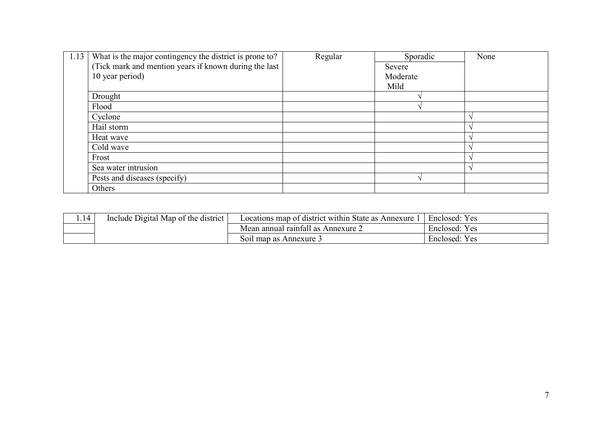| 1.13 | What is the major contingency the district is prone to? | Regular | Sporadic | None |
|------|---------------------------------------------------------|---------|----------|------|
|      | (Tick mark and mention years if known during the last   |         | Severe   |      |
|      | 10 year period)                                         |         | Moderate |      |
|      |                                                         |         | Mild     |      |
|      | Drought                                                 |         |          |      |
|      | Flood                                                   |         |          |      |
|      | Cyclone                                                 |         |          |      |
|      | Hail storm                                              |         |          |      |
|      | Heat wave                                               |         |          |      |
|      | Cold wave                                               |         |          |      |
|      | Frost                                                   |         |          |      |
|      | Sea water intrusion                                     |         |          |      |
|      | Pests and diseases (specify)                            |         |          |      |
|      | Others                                                  |         |          |      |

| Include Digital Map of the district $\vert$ | Locations map of district within State as Annexure | Enclosed: Yes |
|---------------------------------------------|----------------------------------------------------|---------------|
|                                             | Mean annual rainfall as Annexure 2                 | Enclosed: Yes |
|                                             | Soil map as Annexure 3                             | Enclosed: Yes |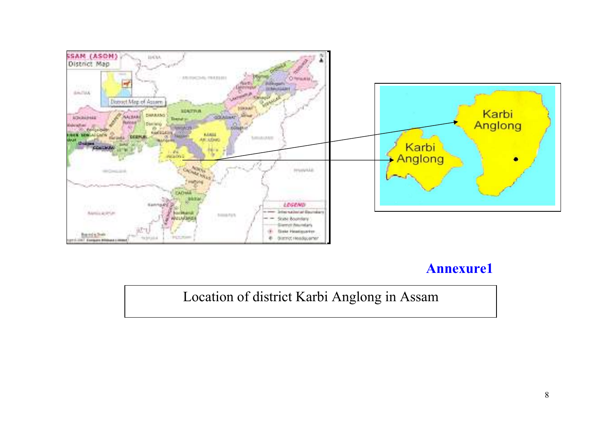

## Annexure1

Location of district Karbi Anglong in Assam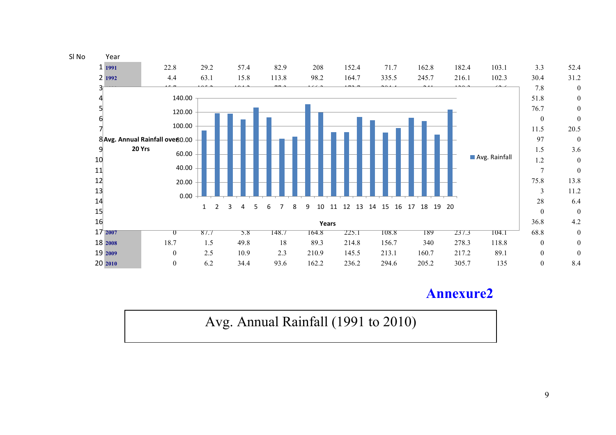

### Annexure2

Avg. Annual Rainfall (1991 to 2010)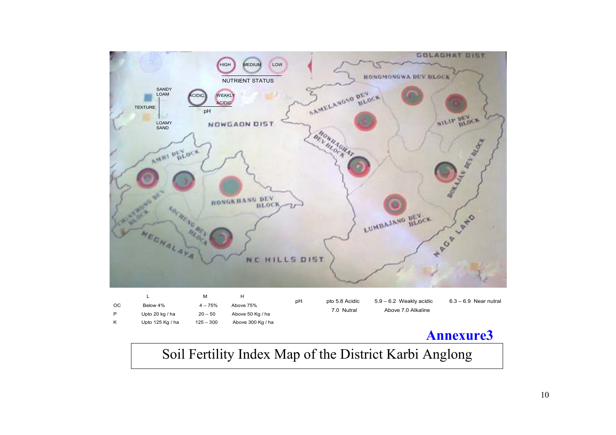

Soil Fertility Index Map of the District Karbi Anglong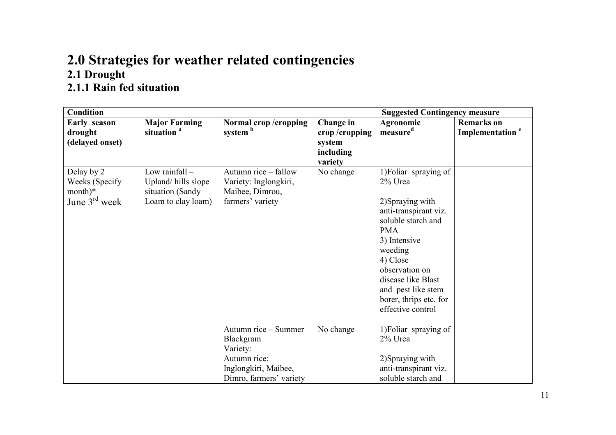### 2.0 Strategies for weather related contingencies 2.1 Drought 2.1.1 Rain fed situation

| <b>Condition</b>    |                        |                         | <b>Suggested Contingency measure</b> |                        |                             |
|---------------------|------------------------|-------------------------|--------------------------------------|------------------------|-----------------------------|
| <b>Early season</b> | <b>Major Farming</b>   | Normal crop/cropping    | Change in                            | Agronomic              | <b>Remarks</b> on           |
| drought             | situation <sup>a</sup> | system <sup>b</sup>     | crop/cropping                        | measure <sup>d</sup>   | Implementation <sup>e</sup> |
| (delayed onset)     |                        |                         | system                               |                        |                             |
|                     |                        |                         | including                            |                        |                             |
|                     |                        |                         | variety                              |                        |                             |
| Delay by 2          | Low rainfall $-$       | Autumn rice - fallow    | No change                            | 1) Foliar spraying of  |                             |
| Weeks (Specify)     | Upland/hills slope     | Variety: Inglongkiri,   |                                      | 2% Urea                |                             |
| $month)*$           | situation (Sandy       | Maibee, Dimrou,         |                                      |                        |                             |
| June $3rd$ week     | Loam to clay loam)     | farmers' variety        |                                      | 2)Spraying with        |                             |
|                     |                        |                         |                                      | anti-transpirant viz.  |                             |
|                     |                        |                         |                                      | soluble starch and     |                             |
|                     |                        |                         |                                      | <b>PMA</b>             |                             |
|                     |                        |                         |                                      | 3) Intensive           |                             |
|                     |                        |                         |                                      | weeding                |                             |
|                     |                        |                         |                                      | 4) Close               |                             |
|                     |                        |                         |                                      | observation on         |                             |
|                     |                        |                         |                                      | disease like Blast     |                             |
|                     |                        |                         |                                      | and pest like stem     |                             |
|                     |                        |                         |                                      | borer, thrips etc. for |                             |
|                     |                        |                         |                                      | effective control      |                             |
|                     |                        |                         |                                      |                        |                             |
|                     |                        | Autumn rice - Summer    | No change                            | 1) Foliar spraying of  |                             |
|                     |                        | Blackgram               |                                      | 2% Urea                |                             |
|                     |                        | Variety:                |                                      |                        |                             |
|                     |                        | Autumn rice:            |                                      | 2)Spraying with        |                             |
|                     |                        | Inglongkiri, Maibee,    |                                      | anti-transpirant viz.  |                             |
|                     |                        | Dimro, farmers' variety |                                      | soluble starch and     |                             |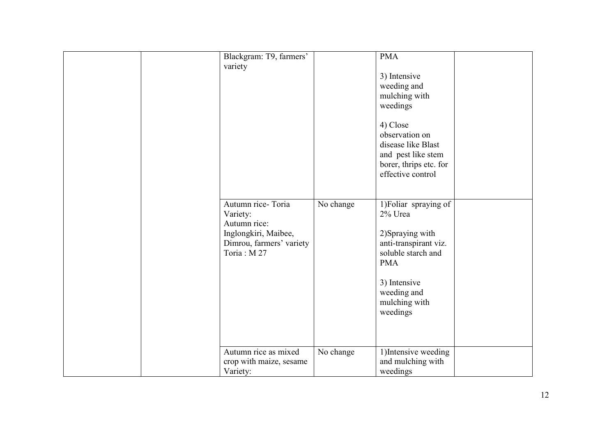| Blackgram: T9, farmers'<br>variety                                                                              |           | <b>PMA</b><br>3) Intensive<br>weeding and<br>mulching with<br>weedings<br>4) Close<br>observation on<br>disease like Blast<br>and pest like stem<br>borer, thrips etc. for<br>effective control |  |
|-----------------------------------------------------------------------------------------------------------------|-----------|-------------------------------------------------------------------------------------------------------------------------------------------------------------------------------------------------|--|
| Autumn rice-Toria<br>Variety:<br>Autumn rice:<br>Inglongkiri, Maibee,<br>Dimrou, farmers' variety<br>Toria: M27 | No change | 1) Foliar spraying of<br>2% Urea<br>2)Spraying with<br>anti-transpirant viz.<br>soluble starch and<br><b>PMA</b><br>3) Intensive<br>weeding and<br>mulching with<br>weedings                    |  |
| Autumn rice as mixed<br>crop with maize, sesame<br>Variety:                                                     | No change | 1) Intensive weeding<br>and mulching with<br>weedings                                                                                                                                           |  |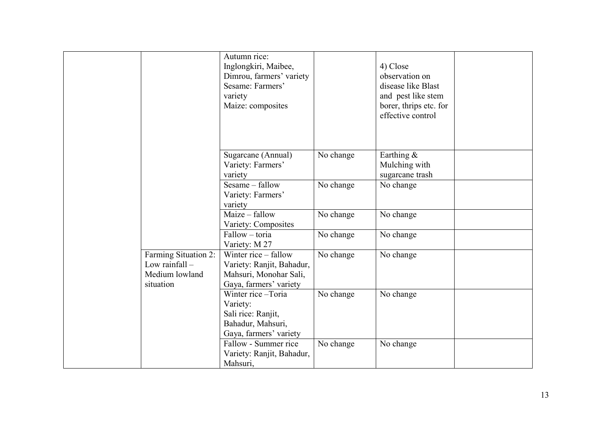|                                                                         | Autumn rice:<br>Inglongkiri, Maibee,<br>Dimrou, farmers' variety<br>Sesame: Farmers'<br>variety<br>Maize: composites |           | 4) Close<br>observation on<br>disease like Blast<br>and pest like stem<br>borer, thrips etc. for<br>effective control |  |
|-------------------------------------------------------------------------|----------------------------------------------------------------------------------------------------------------------|-----------|-----------------------------------------------------------------------------------------------------------------------|--|
|                                                                         | Sugarcane (Annual)<br>Variety: Farmers'<br>variety                                                                   | No change | Earthing $\&$<br>Mulching with<br>sugarcane trash                                                                     |  |
|                                                                         | Sesame - fallow<br>Variety: Farmers'<br>variety                                                                      | No change | No change                                                                                                             |  |
|                                                                         | Maize – fallow<br>Variety: Composites                                                                                | No change | No change                                                                                                             |  |
|                                                                         | Fallow - toria<br>Variety: M 27                                                                                      | No change | No change                                                                                                             |  |
| Farming Situation 2:<br>Low rainfall $-$<br>Medium lowland<br>situation | Winter rice $-$ fallow<br>Variety: Ranjit, Bahadur,<br>Mahsuri, Monohar Sali,<br>Gaya, farmers' variety              | No change | No change                                                                                                             |  |
|                                                                         | Winter rice-Toria<br>Variety:<br>Sali rice: Ranjit,<br>Bahadur, Mahsuri,<br>Gaya, farmers' variety                   | No change | No change                                                                                                             |  |
|                                                                         | Fallow - Summer rice<br>Variety: Ranjit, Bahadur,<br>Mahsuri,                                                        | No change | No change                                                                                                             |  |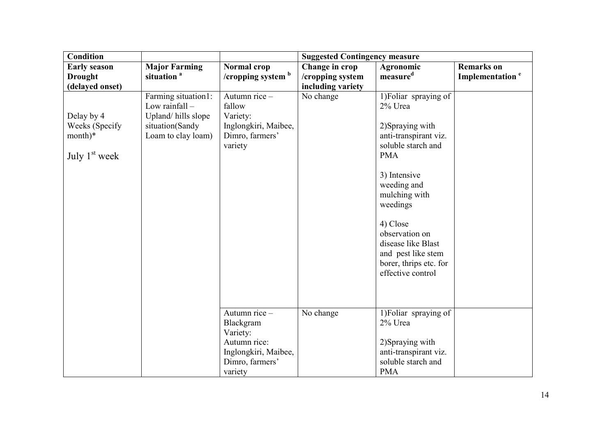| <b>Condition</b>    | <b>Suggested Contingency measure</b> |                                         |                   |                                             |                             |
|---------------------|--------------------------------------|-----------------------------------------|-------------------|---------------------------------------------|-----------------------------|
| <b>Early season</b> | <b>Major Farming</b>                 | <b>Normal crop</b>                      | Change in crop    | Agronomic                                   | <b>Remarks</b> on           |
| <b>Drought</b>      | situation <sup>a</sup>               | /cropping system <sup>b</sup>           | /cropping system  | measure <sup>d</sup>                        | Implementation <sup>e</sup> |
| (delayed onset)     |                                      |                                         | including variety |                                             |                             |
|                     | Farming situation1:                  | Autumn rice $-$                         | No change         | 1) Foliar spraying of                       |                             |
|                     | Low rainfall -                       | fallow                                  |                   | 2% Urea                                     |                             |
| Delay by 4          | Upland/hills slope                   | Variety:                                |                   |                                             |                             |
| Weeks (Specify      | situation(Sandy                      | Inglongkiri, Maibee,                    |                   | 2) Spraying with                            |                             |
| month)*             | Loam to clay loam)                   | Dimro, farmers'<br>variety              |                   | anti-transpirant viz.<br>soluble starch and |                             |
| July $1st$ week     |                                      |                                         |                   | <b>PMA</b>                                  |                             |
|                     |                                      |                                         |                   |                                             |                             |
|                     |                                      |                                         |                   | 3) Intensive                                |                             |
|                     |                                      |                                         |                   | weeding and                                 |                             |
|                     |                                      |                                         |                   | mulching with                               |                             |
|                     |                                      |                                         |                   | weedings                                    |                             |
|                     |                                      |                                         |                   |                                             |                             |
|                     |                                      |                                         |                   | 4) Close                                    |                             |
|                     |                                      |                                         |                   | observation on<br>disease like Blast        |                             |
|                     |                                      |                                         |                   | and pest like stem                          |                             |
|                     |                                      |                                         |                   | borer, thrips etc. for                      |                             |
|                     |                                      |                                         |                   | effective control                           |                             |
|                     |                                      |                                         |                   |                                             |                             |
|                     |                                      |                                         |                   |                                             |                             |
|                     |                                      |                                         |                   |                                             |                             |
|                     |                                      | Autumn rice -                           | No change         | 1) Foliar spraying of                       |                             |
|                     |                                      | Blackgram                               |                   | 2% Urea                                     |                             |
|                     |                                      | Variety:                                |                   |                                             |                             |
|                     |                                      | Autumn rice:                            |                   | 2)Spraying with                             |                             |
|                     |                                      | Inglongkiri, Maibee,<br>Dimro, farmers' |                   | anti-transpirant viz.<br>soluble starch and |                             |
|                     |                                      | variety                                 |                   | <b>PMA</b>                                  |                             |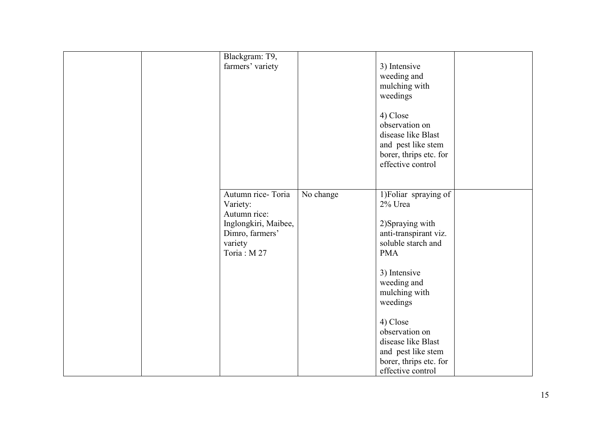| Blackgram: T9,<br>farmers' variety                                                                                |           | 3) Intensive<br>weeding and<br>mulching with<br>weedings<br>4) Close<br>observation on<br>disease like Blast<br>and pest like stem<br>borer, thrips etc. for<br>effective control |  |
|-------------------------------------------------------------------------------------------------------------------|-----------|-----------------------------------------------------------------------------------------------------------------------------------------------------------------------------------|--|
| Autumn rice-Toria<br>Variety:<br>Autumn rice:<br>Inglongkiri, Maibee,<br>Dimro, farmers'<br>variety<br>Toria: M27 | No change | 1) Foliar spraying of<br>2% Urea<br>2)Spraying with<br>anti-transpirant viz.<br>soluble starch and<br><b>PMA</b><br>3) Intensive<br>weeding and<br>mulching with<br>weedings      |  |
|                                                                                                                   |           | 4) Close<br>observation on<br>disease like Blast<br>and pest like stem<br>borer, thrips etc. for<br>effective control                                                             |  |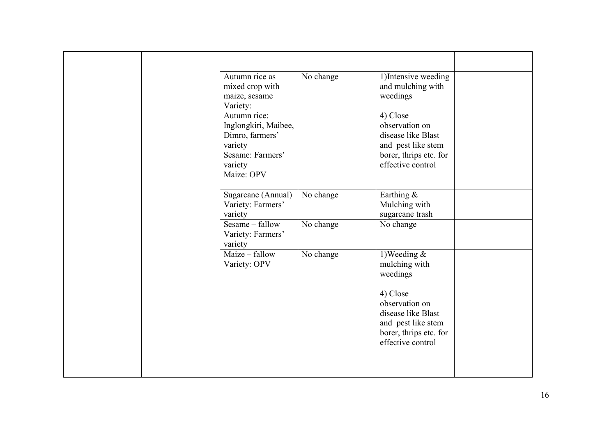|  | Autumn rice as<br>mixed crop with<br>maize, sesame<br>Variety:<br>Autumn rice:<br>Inglongkiri, Maibee,<br>Dimro, farmers'<br>variety | No change | 1) Intensive weeding<br>and mulching with<br>weedings<br>4) Close<br>observation on<br>disease like Blast<br>and pest like stem |  |
|--|--------------------------------------------------------------------------------------------------------------------------------------|-----------|---------------------------------------------------------------------------------------------------------------------------------|--|
|  | Sesame: Farmers'<br>variety<br>Maize: OPV                                                                                            |           | borer, thrips etc. for<br>effective control                                                                                     |  |
|  | Sugarcane (Annual)<br>Variety: Farmers'<br>variety                                                                                   | No change | Earthing &<br>Mulching with<br>sugarcane trash                                                                                  |  |
|  | Sesame – fallow<br>Variety: Farmers'<br>variety                                                                                      | No change | No change                                                                                                                       |  |
|  | Maize – fallow<br>Variety: OPV                                                                                                       | No change | 1) Weeding $\&$<br>mulching with<br>weedings                                                                                    |  |
|  |                                                                                                                                      |           | 4) Close<br>observation on<br>disease like Blast<br>and pest like stem<br>borer, thrips etc. for<br>effective control           |  |
|  |                                                                                                                                      |           |                                                                                                                                 |  |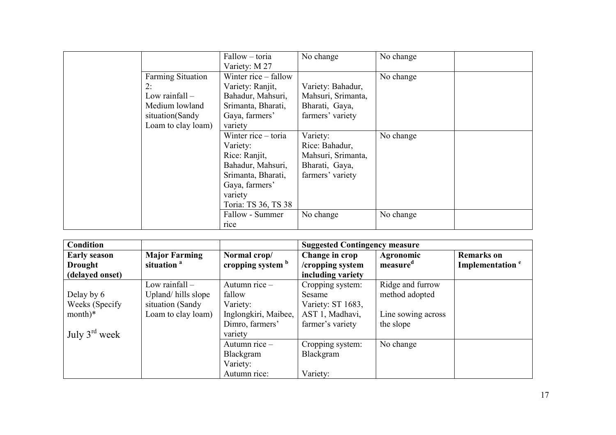|                          | Fallow – toria       | No change          | No change |
|--------------------------|----------------------|--------------------|-----------|
|                          | Variety: M 27        |                    |           |
| <b>Farming Situation</b> | Winter rice – fallow |                    | No change |
| 2:                       | Variety: Ranjit,     | Variety: Bahadur,  |           |
| Low rainfall $-$         | Bahadur, Mahsuri,    | Mahsuri, Srimanta, |           |
| Medium lowland           | Srimanta, Bharati,   | Bharati, Gaya,     |           |
| situation(Sandy          | Gaya, farmers'       | farmers' variety   |           |
| Loam to clay loam)       | variety              |                    |           |
|                          | Winter rice – toria  | Variety:           | No change |
|                          | Variety:             | Rice: Bahadur,     |           |
|                          | Rice: Ranjit,        | Mahsuri, Srimanta, |           |
|                          | Bahadur, Mahsuri,    | Bharati, Gaya,     |           |
|                          | Srimanta, Bharati,   | farmers' variety   |           |
|                          | Gaya, farmers'       |                    |           |
|                          | variety              |                    |           |
|                          | Toria: TS 36, TS 38  |                    |           |
|                          | Fallow - Summer      | No change          | No change |
|                          | rice                 |                    |           |

| <b>Condition</b>          |                        |                      | <b>Suggested Contingency measure</b> |                      |                             |
|---------------------------|------------------------|----------------------|--------------------------------------|----------------------|-----------------------------|
| <b>Early season</b>       | <b>Major Farming</b>   | Normal crop/         | Change in crop                       | Agronomic            | <b>Remarks</b> on           |
| <b>Drought</b>            | situation <sup>a</sup> | cropping system b    | /cropping system                     | measure <sup>d</sup> | Implementation <sup>e</sup> |
| (delayed onset)           |                        |                      | including variety                    |                      |                             |
|                           | Low rainfall $-$       | Autumn rice $-$      | Cropping system:                     | Ridge and furrow     |                             |
| Delay by 6                | Upland/hills slope     | fallow               | Sesame                               | method adopted       |                             |
| Weeks (Specify)           | situation (Sandy       | Variety:             | Variety: ST 1683,                    |                      |                             |
| $month)*$                 | Loam to clay loam)     | Inglongkiri, Maibee, | AST 1, Madhavi,                      | Line sowing across   |                             |
|                           |                        | Dimro, farmers'      | farmer's variety                     | the slope            |                             |
| July $3^{\text{rd}}$ week |                        | variety              |                                      |                      |                             |
|                           |                        | Autumn rice -        | Cropping system:                     | No change            |                             |
|                           |                        | Blackgram            | Blackgram                            |                      |                             |
|                           |                        | Variety:             |                                      |                      |                             |
|                           |                        | Autumn rice:         | Variety:                             |                      |                             |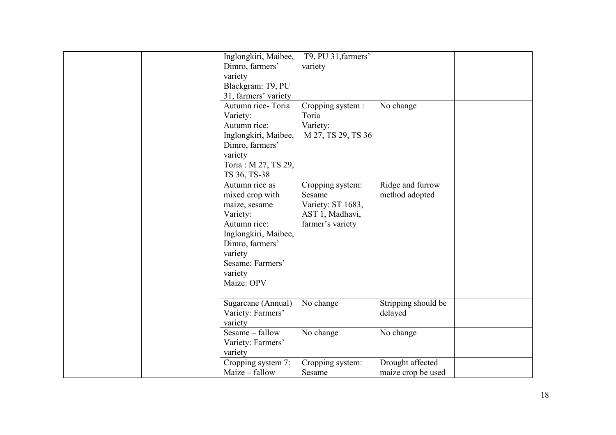| Inglongkiri, Maibee,<br>Dimro, farmers'<br>variety<br>Blackgram: T9, PU<br>31, farmers' variety<br>Autumn rice-Toria<br>Variety:<br>Autumn rice:<br>Inglongkiri, Maibee,<br>Dimro, farmers'<br>variety<br>Toria: M 27, TS 29,<br>TS 36, TS-38<br>Autumn rice as | T9, PU 31, farmers'<br>variety<br>Cropping system :<br>Toria<br>Variety:<br>M 27, TS 29, TS 36 | No change<br>Ridge and furrow          |
|-----------------------------------------------------------------------------------------------------------------------------------------------------------------------------------------------------------------------------------------------------------------|------------------------------------------------------------------------------------------------|----------------------------------------|
| mixed crop with<br>maize, sesame<br>Variety:<br>Autumn rice:<br>Inglongkiri, Maibee,<br>Dimro, farmers'<br>variety<br>Sesame: Farmers'<br>variety<br>Maize: OPV                                                                                                 | Cropping system:<br>Sesame<br>Variety: ST 1683,<br>AST 1, Madhavi,<br>farmer's variety         | method adopted                         |
| Sugarcane (Annual)<br>Variety: Farmers'<br>variety                                                                                                                                                                                                              | No change                                                                                      | Stripping should be<br>delayed         |
| Sesame - fallow<br>Variety: Farmers'<br>variety                                                                                                                                                                                                                 | No change                                                                                      | No change                              |
| Cropping system 7:<br>Maize - fallow                                                                                                                                                                                                                            | Cropping system:<br>Sesame                                                                     | Drought affected<br>maize crop be used |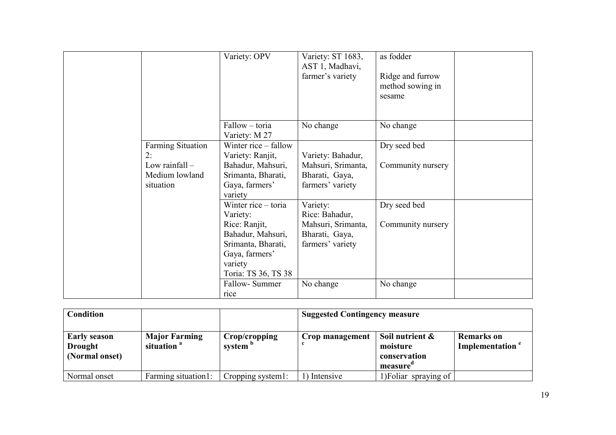|           | Variety: OPV                                                                                                                                    | Variety: ST 1683,<br>AST 1, Madhavi,<br>farmer's variety                               | as fodder<br>Ridge and furrow<br>method sowing in<br>sesame |  |
|-----------|-------------------------------------------------------------------------------------------------------------------------------------------------|----------------------------------------------------------------------------------------|-------------------------------------------------------------|--|
|           | Fallow - toria<br>Variety: M 27                                                                                                                 | No change                                                                              | No change                                                   |  |
| 2:        | Winter rice – fallow<br><b>Farming Situation</b><br>Variety: Ranjit,                                                                            | Variety: Bahadur,                                                                      | Dry seed bed                                                |  |
| situation | Low rainfall $-$<br>Bahadur, Mahsuri,<br>Medium lowland<br>Srimanta, Bharati,<br>Gaya, farmers'<br>variety                                      | Mahsuri, Srimanta,<br>Bharati, Gaya,<br>farmers' variety                               | Community nursery                                           |  |
|           | Winter rice – toria<br>Variety:<br>Rice: Ranjit,<br>Bahadur, Mahsuri,<br>Srimanta, Bharati,<br>Gaya, farmers'<br>variety<br>Toria: TS 36, TS 38 | Variety:<br>Rice: Bahadur,<br>Mahsuri, Srimanta,<br>Bharati, Gaya,<br>farmers' variety | Dry seed bed<br>Community nursery                           |  |
|           | Fallow-Summer<br>rice                                                                                                                           | No change                                                                              | No change                                                   |  |

| Condition                                        |                                                |                                      | <b>Suggested Contingency measure</b> |                                                            |                                                  |
|--------------------------------------------------|------------------------------------------------|--------------------------------------|--------------------------------------|------------------------------------------------------------|--------------------------------------------------|
| <b>Early season</b><br>Drought<br>(Normal onset) | <b>Major Farming</b><br>situation <sup>a</sup> | Crop/cropping<br>system <sup>p</sup> | Crop management                      | Soil nutrient $\&$<br>moisture<br>conservation<br>measure' | <b>Remarks</b> on<br>Implementation <sup>e</sup> |
| Normal onset                                     | Farming situation1:                            | Cropping system1:                    | Intensive                            | 1) Foliar spraying of                                      |                                                  |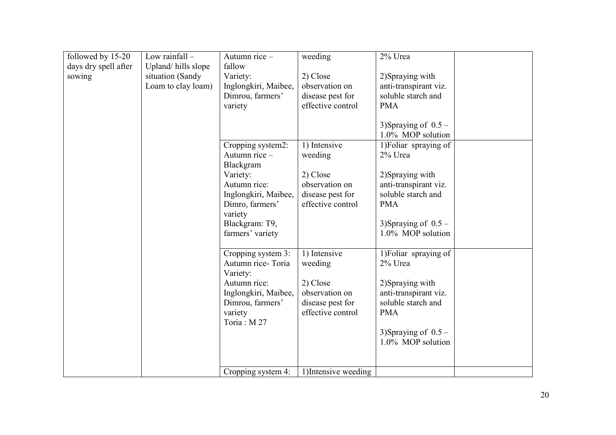| followed by 15-20    | Low rainfall -     | Autumn rice $-$      | weeding              | 2% Urea               |  |
|----------------------|--------------------|----------------------|----------------------|-----------------------|--|
| days dry spell after | Upland/hills slope | fallow               |                      |                       |  |
| sowing               | situation (Sandy   | Variety:             | 2) Close             | 2)Spraying with       |  |
|                      | Loam to clay loam) | Inglongkiri, Maibee, | observation on       | anti-transpirant viz. |  |
|                      |                    | Dimrou, farmers'     | disease pest for     | soluble starch and    |  |
|                      |                    | variety              | effective control    | <b>PMA</b>            |  |
|                      |                    |                      |                      |                       |  |
|                      |                    |                      |                      | 3)Spraying of $0.5 -$ |  |
|                      |                    |                      |                      | 1.0% MOP solution     |  |
|                      |                    | Cropping system2:    | 1) Intensive         | 1) Foliar spraying of |  |
|                      |                    | Autumn rice $-$      | weeding              | 2% Urea               |  |
|                      |                    | Blackgram            |                      |                       |  |
|                      |                    | Variety:             | 2) Close             | 2) Spraying with      |  |
|                      |                    | Autumn rice:         | observation on       | anti-transpirant viz. |  |
|                      |                    | Inglongkiri, Maibee, | disease pest for     | soluble starch and    |  |
|                      |                    | Dimro, farmers'      | effective control    | <b>PMA</b>            |  |
|                      |                    | variety              |                      |                       |  |
|                      |                    | Blackgram: T9,       |                      | 3)Spraying of $0.5 -$ |  |
|                      |                    | farmers' variety     |                      | 1.0% MOP solution     |  |
|                      |                    |                      |                      |                       |  |
|                      |                    | Cropping system 3:   | 1) Intensive         | 1) Foliar spraying of |  |
|                      |                    | Autumn rice-Toria    | weeding              | 2% Urea               |  |
|                      |                    | Variety:             |                      |                       |  |
|                      |                    | Autumn rice:         | 2) Close             | 2) Spraying with      |  |
|                      |                    | Inglongkiri, Maibee, | observation on       | anti-transpirant viz. |  |
|                      |                    | Dimrou, farmers'     | disease pest for     | soluble starch and    |  |
|                      |                    | variety              | effective control    | <b>PMA</b>            |  |
|                      |                    | Toria: M27           |                      |                       |  |
|                      |                    |                      |                      | 3)Spraying of $0.5 -$ |  |
|                      |                    |                      |                      | 1.0% MOP solution     |  |
|                      |                    |                      |                      |                       |  |
|                      |                    |                      |                      |                       |  |
|                      |                    | Cropping system 4:   | 1) Intensive weeding |                       |  |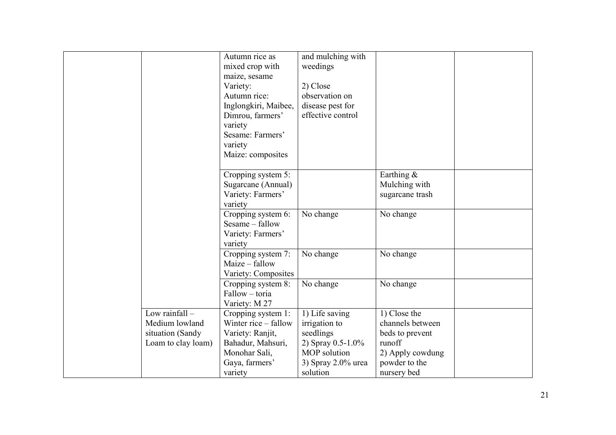|                                                                              | Autumn rice as<br>mixed crop with<br>maize, sesame<br>Variety:<br>Autumn rice:<br>Inglongkiri, Maibee,<br>Dimrou, farmers'<br>variety<br>Sesame: Farmers'<br>variety<br>Maize: composites | and mulching with<br>weedings<br>2) Close<br>observation on<br>disease pest for<br>effective control |                                                               |  |
|------------------------------------------------------------------------------|-------------------------------------------------------------------------------------------------------------------------------------------------------------------------------------------|------------------------------------------------------------------------------------------------------|---------------------------------------------------------------|--|
|                                                                              | Cropping system 5:<br>Sugarcane (Annual)<br>Variety: Farmers'<br>variety                                                                                                                  |                                                                                                      | Earthing $\&$<br>Mulching with<br>sugarcane trash             |  |
|                                                                              | Cropping system 6:<br>Sesame – fallow<br>Variety: Farmers'<br>variety                                                                                                                     | No change                                                                                            | No change                                                     |  |
|                                                                              | Cropping system 7:<br>Maize – fallow<br>Variety: Composites                                                                                                                               | No change                                                                                            | No change                                                     |  |
|                                                                              | Cropping system 8:<br>Fallow – toria<br>Variety: M 27                                                                                                                                     | No change                                                                                            | No change                                                     |  |
| Low rainfall $-$<br>Medium lowland<br>situation (Sandy<br>Loam to clay loam) | Cropping system 1:<br>Winter rice – fallow<br>Variety: Ranjit,<br>Bahadur, Mahsuri,                                                                                                       | 1) Life saving<br>irrigation to<br>seedlings<br>2) Spray 0.5-1.0%                                    | 1) Close the<br>channels between<br>beds to prevent<br>runoff |  |
|                                                                              | Monohar Sali,<br>Gaya, farmers'<br>variety                                                                                                                                                | MOP solution<br>3) Spray 2.0% urea<br>solution                                                       | 2) Apply cowdung<br>powder to the<br>nursery bed              |  |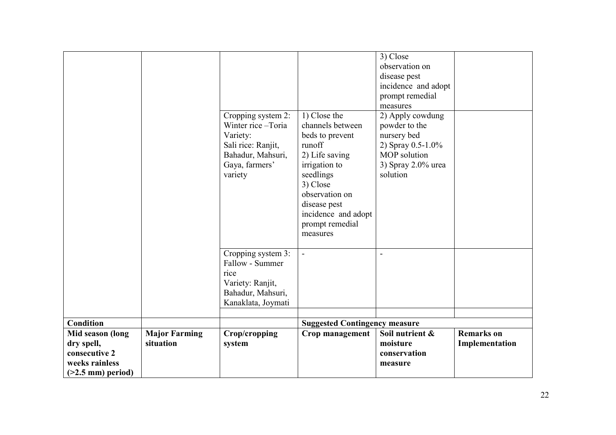|                     |                      | Cropping system 2:<br>Winter rice-Toria<br>Variety:<br>Sali rice: Ranjit,<br>Bahadur, Mahsuri,<br>Gaya, farmers'<br>variety | 1) Close the<br>channels between<br>beds to prevent<br>runoff<br>2) Life saving<br>irrigation to<br>seedlings<br>3) Close<br>observation on<br>disease pest<br>incidence and adopt<br>prompt remedial<br>measures | 3) Close<br>observation on<br>disease pest<br>incidence and adopt<br>prompt remedial<br>measures<br>2) Apply cowdung<br>powder to the<br>nursery bed<br>2) Spray 0.5-1.0%<br>MOP solution<br>3) Spray $2.0\%$ urea<br>solution |                   |
|---------------------|----------------------|-----------------------------------------------------------------------------------------------------------------------------|-------------------------------------------------------------------------------------------------------------------------------------------------------------------------------------------------------------------|--------------------------------------------------------------------------------------------------------------------------------------------------------------------------------------------------------------------------------|-------------------|
|                     |                      | Cropping system 3:<br>Fallow - Summer<br>rice<br>Variety: Ranjit,<br>Bahadur, Mahsuri,<br>Kanaklata, Joymati                | $\overline{\phantom{a}}$                                                                                                                                                                                          | $\overline{a}$                                                                                                                                                                                                                 |                   |
| <b>Condition</b>    |                      |                                                                                                                             | <b>Suggested Contingency measure</b>                                                                                                                                                                              |                                                                                                                                                                                                                                |                   |
| Mid season (long    | <b>Major Farming</b> | Crop/cropping                                                                                                               | Crop management                                                                                                                                                                                                   | Soil nutrient &                                                                                                                                                                                                                | <b>Remarks</b> on |
| dry spell,          | situation            | system                                                                                                                      |                                                                                                                                                                                                                   | moisture                                                                                                                                                                                                                       | Implementation    |
| consecutive 2       |                      |                                                                                                                             |                                                                                                                                                                                                                   | conservation                                                                                                                                                                                                                   |                   |
| weeks rainless      |                      |                                                                                                                             |                                                                                                                                                                                                                   | measure                                                                                                                                                                                                                        |                   |
| $(>2.5$ mm) period) |                      |                                                                                                                             |                                                                                                                                                                                                                   |                                                                                                                                                                                                                                |                   |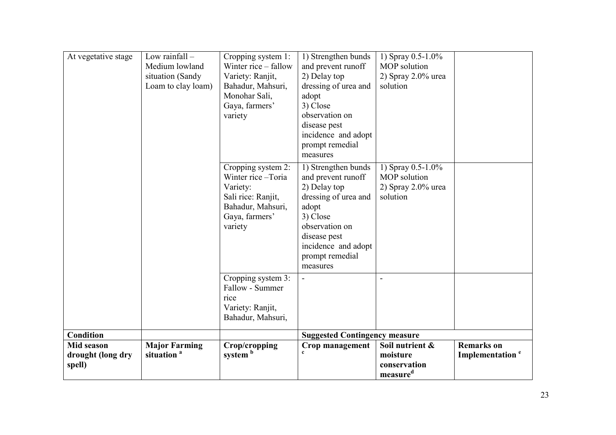| At vegetative stage                       | Low rainfall $-$<br>Medium lowland<br>situation (Sandy<br>Loam to clay loam) | Cropping system 1:<br>Winter rice – fallow<br>Variety: Ranjit,<br>Bahadur, Mahsuri,<br>Monohar Sali,<br>Gaya, farmers'<br>variety | 1) Strengthen bunds<br>and prevent runoff<br>2) Delay top<br>dressing of urea and<br>adopt<br>3) Close<br>observation on<br>disease pest<br>incidence and adopt<br>prompt remedial<br>measures | 1) Spray $0.5 - 1.0\%$<br>MOP solution<br>2) Spray $2.0\%$ urea<br>solution |                                                  |
|-------------------------------------------|------------------------------------------------------------------------------|-----------------------------------------------------------------------------------------------------------------------------------|------------------------------------------------------------------------------------------------------------------------------------------------------------------------------------------------|-----------------------------------------------------------------------------|--------------------------------------------------|
|                                           |                                                                              | Cropping system 2:<br>Winter rice-Toria<br>Variety:<br>Sali rice: Ranjit,<br>Bahadur, Mahsuri,<br>Gaya, farmers'<br>variety       | 1) Strengthen bunds<br>and prevent runoff<br>2) Delay top<br>dressing of urea and<br>adopt<br>3) Close<br>observation on<br>disease pest<br>incidence and adopt<br>prompt remedial<br>measures | 1) Spray $0.5 - 1.0\%$<br>MOP solution<br>2) Spray $2.0\%$ urea<br>solution |                                                  |
|                                           |                                                                              | Cropping system 3:<br>Fallow - Summer<br>rice<br>Variety: Ranjit,<br>Bahadur, Mahsuri,                                            | $\overline{\phantom{a}}$                                                                                                                                                                       |                                                                             |                                                  |
| <b>Condition</b>                          |                                                                              |                                                                                                                                   | <b>Suggested Contingency measure</b>                                                                                                                                                           |                                                                             |                                                  |
| Mid season<br>drought (long dry<br>spell) | <b>Major Farming</b><br>situation <sup>a</sup>                               | Crop/cropping<br>system <sup>b</sup>                                                                                              | Crop management                                                                                                                                                                                | Soil nutrient &<br>moisture<br>conservation<br>measure <sup>d</sup>         | <b>Remarks</b> on<br>Implementation <sup>e</sup> |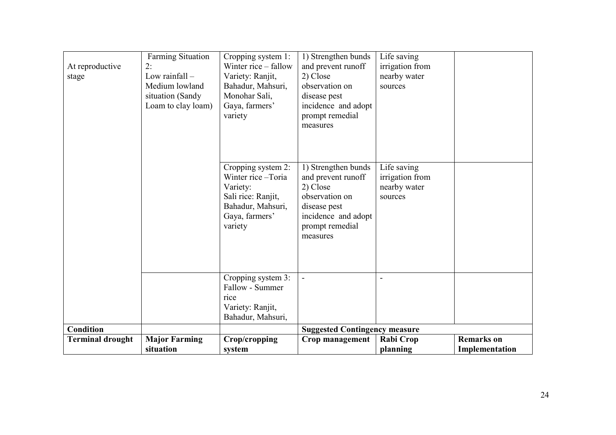| At reproductive<br>stage                    | Farming Situation<br>2:<br>Low rainfall $-$<br>Medium lowland<br>situation (Sandy<br>Loam to clay loam) | Cropping system 1:<br>Winter rice – fallow<br>Variety: Ranjit,<br>Bahadur, Mahsuri,<br>Monohar Sali,<br>Gaya, farmers'<br>variety | 1) Strengthen bunds<br>and prevent runoff<br>2) Close<br>observation on<br>disease pest<br>incidence and adopt<br>prompt remedial<br>measures | Life saving<br>irrigation from<br>nearby water<br>sources |                                     |
|---------------------------------------------|---------------------------------------------------------------------------------------------------------|-----------------------------------------------------------------------------------------------------------------------------------|-----------------------------------------------------------------------------------------------------------------------------------------------|-----------------------------------------------------------|-------------------------------------|
|                                             |                                                                                                         | Cropping system 2:<br>Winter rice-Toria<br>Variety:<br>Sali rice: Ranjit,<br>Bahadur, Mahsuri,<br>Gaya, farmers'<br>variety       | 1) Strengthen bunds<br>and prevent runoff<br>2) Close<br>observation on<br>disease pest<br>incidence and adopt<br>prompt remedial<br>measures | Life saving<br>irrigation from<br>nearby water<br>sources |                                     |
| <b>Condition</b><br><b>Terminal drought</b> | <b>Major Farming</b><br>situation                                                                       | Cropping system 3:<br>Fallow - Summer<br>rice<br>Variety: Ranjit,<br>Bahadur, Mahsuri,<br>Crop/cropping<br>system                 | <b>Suggested Contingency measure</b><br>Crop management                                                                                       | <b>Rabi Crop</b><br>planning                              | <b>Remarks</b> on<br>Implementation |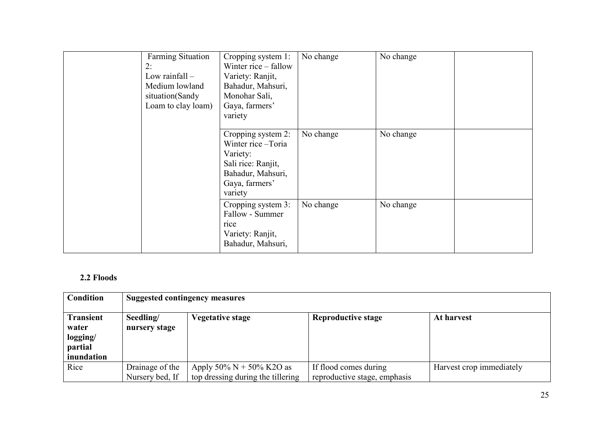| <b>Farming Situation</b><br>2:<br>Low rainfall $-$<br>Medium lowland<br>situation(Sandy<br>Loam to clay loam) | Cropping system 1:<br>Winter rice – fallow<br>Variety: Ranjit,<br>Bahadur, Mahsuri,<br>Monohar Sali,<br>Gaya, farmers'<br>variety | No change | No change |  |
|---------------------------------------------------------------------------------------------------------------|-----------------------------------------------------------------------------------------------------------------------------------|-----------|-----------|--|
|                                                                                                               | Cropping system 2:<br>Winter rice – Toria<br>Variety:<br>Sali rice: Ranjit,<br>Bahadur, Mahsuri,<br>Gaya, farmers'<br>variety     | No change | No change |  |
|                                                                                                               | Cropping system 3:<br>Fallow - Summer<br>rice<br>Variety: Ranjit,<br>Bahadur, Mahsuri,                                            | No change | No change |  |

#### 2.2 Floods

| Condition                                                      | <b>Suggested contingency measures</b> |                                   |                              |                          |  |
|----------------------------------------------------------------|---------------------------------------|-----------------------------------|------------------------------|--------------------------|--|
| <b>Transient</b><br>water<br>logging/<br>partial<br>inundation | Seedling/<br>nursery stage            | <b>Vegetative stage</b>           | <b>Reproductive stage</b>    | At harvest               |  |
| Rice                                                           | Drainage of the                       | Apply 50% $N + 50%$ K2O as        | If flood comes during        | Harvest crop immediately |  |
|                                                                | Nursery bed, If                       | top dressing during the tillering | reproductive stage, emphasis |                          |  |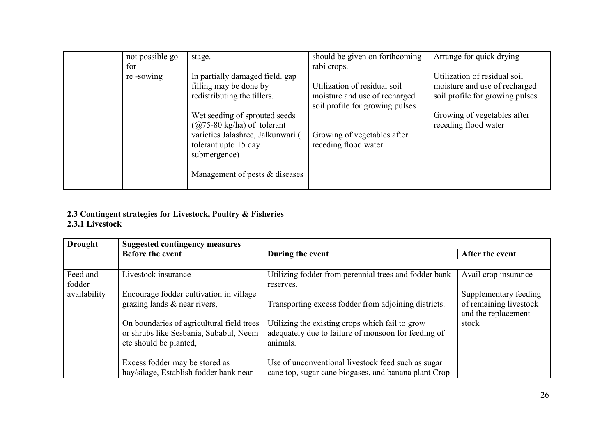| not possible go | stage.                               | should be given on forthcoming                                   | Arrange for quick drying        |
|-----------------|--------------------------------------|------------------------------------------------------------------|---------------------------------|
| for             |                                      | rabi crops.                                                      |                                 |
| re-sowing       | In partially damaged field, gap      |                                                                  | Utilization of residual soil    |
|                 | filling may be done by               | Utilization of residual soil                                     | moisture and use of recharged   |
|                 | redistributing the tillers.          | moisture and use of recharged<br>soil profile for growing pulses | soil profile for growing pulses |
|                 | Wet seeding of sprouted seeds        |                                                                  | Growing of vegetables after     |
|                 | $(Q75-80 \text{ kg/ha})$ of tolerant |                                                                  | receding flood water            |
|                 | varieties Jalashree, Jalkunwari (    | Growing of vegetables after                                      |                                 |
|                 | tolerant upto 15 day                 | receding flood water                                             |                                 |
|                 | submergence)                         |                                                                  |                                 |
|                 | Management of pests $&$ diseases     |                                                                  |                                 |

## 2.3 Contingent strategies for Livestock, Poultry & Fisheries 2.3.1 Livestock

| <b>Drought</b> | <b>Suggested contingency measures</b>     |                                                       |                                               |  |  |  |
|----------------|-------------------------------------------|-------------------------------------------------------|-----------------------------------------------|--|--|--|
|                | Before the event                          | During the event                                      | After the event                               |  |  |  |
|                |                                           |                                                       |                                               |  |  |  |
| Feed and       | Livestock insurance                       | Utilizing fodder from perennial trees and fodder bank | Avail crop insurance                          |  |  |  |
| fodder         |                                           | reserves.                                             |                                               |  |  |  |
| availability   | Encourage fodder cultivation in village   |                                                       | Supplementary feeding                         |  |  |  |
|                | grazing lands $\&$ near rivers,           | Transporting excess fodder from adjoining districts.  | of remaining livestock<br>and the replacement |  |  |  |
|                | On boundaries of agricultural field trees | Utilizing the existing crops which fail to grow       | stock                                         |  |  |  |
|                | or shrubs like Sesbania, Subabul, Neem    | adequately due to failure of monsoon for feeding of   |                                               |  |  |  |
|                | etc should be planted,                    | animals.                                              |                                               |  |  |  |
|                |                                           |                                                       |                                               |  |  |  |
|                | Excess fodder may be stored as            | Use of unconventional livestock feed such as sugar    |                                               |  |  |  |
|                | hay/silage, Establish fodder bank near    | cane top, sugar cane biogases, and banana plant Crop  |                                               |  |  |  |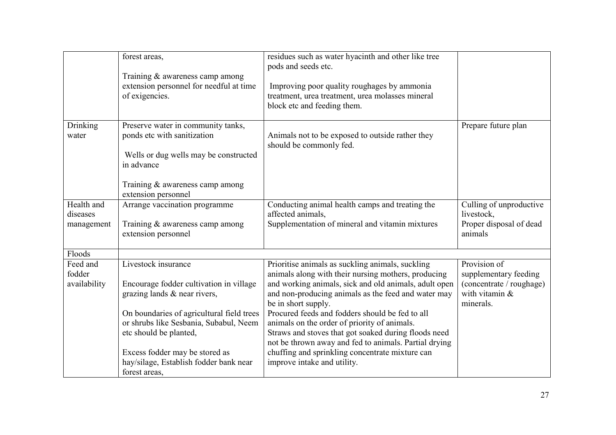|                                      | forest areas,                                                                                                                                                                                                                                                                                                | residues such as water hyacinth and other like tree<br>pods and seeds etc.                                                                                                                                                                                                                                                                                                                                                                                                                                                                           |                                                                                                    |
|--------------------------------------|--------------------------------------------------------------------------------------------------------------------------------------------------------------------------------------------------------------------------------------------------------------------------------------------------------------|------------------------------------------------------------------------------------------------------------------------------------------------------------------------------------------------------------------------------------------------------------------------------------------------------------------------------------------------------------------------------------------------------------------------------------------------------------------------------------------------------------------------------------------------------|----------------------------------------------------------------------------------------------------|
|                                      | Training & awareness camp among<br>extension personnel for needful at time<br>of exigencies.                                                                                                                                                                                                                 | Improving poor quality roughages by ammonia<br>treatment, urea treatment, urea molasses mineral<br>block etc and feeding them.                                                                                                                                                                                                                                                                                                                                                                                                                       |                                                                                                    |
| Drinking<br>water                    | Preserve water in community tanks,<br>ponds etc with sanitization<br>Wells or dug wells may be constructed<br>in advance<br>Training & awareness camp among<br>extension personnel                                                                                                                           | Animals not to be exposed to outside rather they<br>should be commonly fed.                                                                                                                                                                                                                                                                                                                                                                                                                                                                          | Prepare future plan                                                                                |
| Health and<br>diseases<br>management | Arrange vaccination programme<br>Training & awareness camp among<br>extension personnel                                                                                                                                                                                                                      | Conducting animal health camps and treating the<br>affected animals,<br>Supplementation of mineral and vitamin mixtures                                                                                                                                                                                                                                                                                                                                                                                                                              | Culling of unproductive<br>livestock,<br>Proper disposal of dead<br>animals                        |
| Floods                               |                                                                                                                                                                                                                                                                                                              |                                                                                                                                                                                                                                                                                                                                                                                                                                                                                                                                                      |                                                                                                    |
| Feed and<br>fodder<br>availability   | Livestock insurance<br>Encourage fodder cultivation in village<br>grazing lands & near rivers,<br>On boundaries of agricultural field trees<br>or shrubs like Sesbania, Subabul, Neem<br>etc should be planted,<br>Excess fodder may be stored as<br>hay/silage, Establish fodder bank near<br>forest areas. | Prioritise animals as suckling animals, suckling<br>animals along with their nursing mothers, producing<br>and working animals, sick and old animals, adult open<br>and non-producing animals as the feed and water may<br>be in short supply.<br>Procured feeds and fodders should be fed to all<br>animals on the order of priority of animals.<br>Straws and stoves that got soaked during floods need<br>not be thrown away and fed to animals. Partial drying<br>chuffing and sprinkling concentrate mixture can<br>improve intake and utility. | Provision of<br>supplementary feeding<br>(concentrate / roughage)<br>with vitamin $&$<br>minerals. |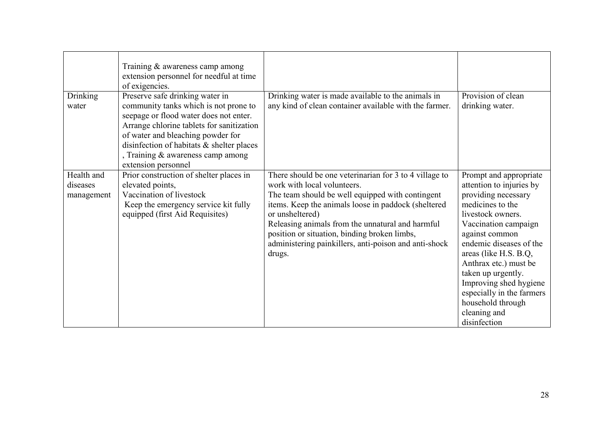|                                      | Training & awareness camp among<br>extension personnel for needful at time<br>of exigencies.                                                                                                                                                                                                                  |                                                                                                                                                                                                                                                                                                                                                                                            |                                                                                                                                                                                                                                                                                                                                                                             |
|--------------------------------------|---------------------------------------------------------------------------------------------------------------------------------------------------------------------------------------------------------------------------------------------------------------------------------------------------------------|--------------------------------------------------------------------------------------------------------------------------------------------------------------------------------------------------------------------------------------------------------------------------------------------------------------------------------------------------------------------------------------------|-----------------------------------------------------------------------------------------------------------------------------------------------------------------------------------------------------------------------------------------------------------------------------------------------------------------------------------------------------------------------------|
| <b>Drinking</b><br>water             | Preserve safe drinking water in<br>community tanks which is not prone to<br>seepage or flood water does not enter.<br>Arrange chlorine tablets for sanitization<br>of water and bleaching powder for<br>disinfection of habitats & shelter places<br>, Training & awareness camp among<br>extension personnel | Drinking water is made available to the animals in<br>any kind of clean container available with the farmer.                                                                                                                                                                                                                                                                               | Provision of clean<br>drinking water.                                                                                                                                                                                                                                                                                                                                       |
| Health and<br>diseases<br>management | Prior construction of shelter places in<br>elevated points,<br>Vaccination of livestock<br>Keep the emergency service kit fully<br>equipped (first Aid Requisites)                                                                                                                                            | There should be one veterinarian for 3 to 4 village to<br>work with local volunteers.<br>The team should be well equipped with contingent<br>items. Keep the animals loose in paddock (sheltered<br>or unsheltered)<br>Releasing animals from the unnatural and harmful<br>position or situation, binding broken limbs,<br>administering painkillers, anti-poison and anti-shock<br>drugs. | Prompt and appropriate<br>attention to injuries by<br>providing necessary<br>medicines to the<br>livestock owners.<br>Vaccination campaign<br>against common<br>endemic diseases of the<br>areas (like H.S. B.Q,<br>Anthrax etc.) must be<br>taken up urgently.<br>Improving shed hygiene<br>especially in the farmers<br>household through<br>cleaning and<br>disinfection |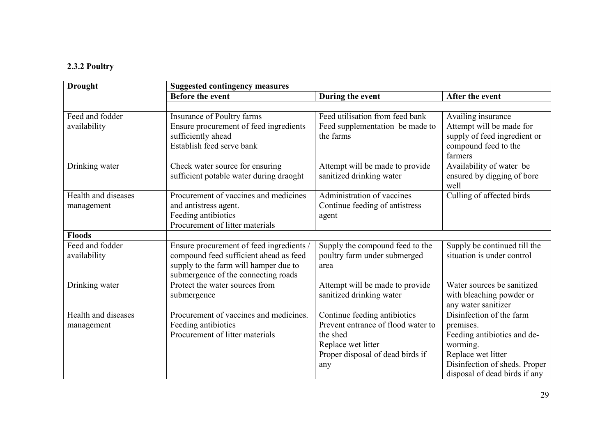#### 2.3.2 Poultry

| <b>Drought</b>                    | <b>Suggested contingency measures</b>                                                                                                                              |                                                                                                                                                 |                                                                                                                                                                          |  |
|-----------------------------------|--------------------------------------------------------------------------------------------------------------------------------------------------------------------|-------------------------------------------------------------------------------------------------------------------------------------------------|--------------------------------------------------------------------------------------------------------------------------------------------------------------------------|--|
|                                   | <b>Before the event</b>                                                                                                                                            | During the event                                                                                                                                | After the event                                                                                                                                                          |  |
|                                   |                                                                                                                                                                    |                                                                                                                                                 |                                                                                                                                                                          |  |
| Feed and fodder<br>availability   | Insurance of Poultry farms<br>Ensure procurement of feed ingredients<br>sufficiently ahead<br>Establish feed serve bank                                            | Feed utilisation from feed bank<br>Feed supplementation be made to<br>the farms                                                                 | Availing insurance<br>Attempt will be made for<br>supply of feed ingredient or<br>compound feed to the<br>farmers                                                        |  |
| Drinking water                    | Check water source for ensuring<br>sufficient potable water during draoght                                                                                         | Attempt will be made to provide<br>sanitized drinking water                                                                                     | Availability of water be<br>ensured by digging of bore<br>well                                                                                                           |  |
| Health and diseases<br>management | Procurement of vaccines and medicines<br>and antistress agent.<br>Feeding antibiotics<br>Procurement of litter materials                                           | Administration of vaccines<br>Continue feeding of antistress<br>agent                                                                           | Culling of affected birds                                                                                                                                                |  |
| <b>Floods</b>                     |                                                                                                                                                                    |                                                                                                                                                 |                                                                                                                                                                          |  |
| Feed and fodder<br>availability   | Ensure procurement of feed ingredients /<br>compound feed sufficient ahead as feed<br>supply to the farm will hamper due to<br>submergence of the connecting roads | Supply the compound feed to the<br>poultry farm under submerged<br>area                                                                         | Supply be continued till the<br>situation is under control                                                                                                               |  |
| Drinking water                    | Protect the water sources from<br>submergence                                                                                                                      | Attempt will be made to provide<br>sanitized drinking water                                                                                     | Water sources be sanitized<br>with bleaching powder or<br>any water sanitizer                                                                                            |  |
| Health and diseases<br>management | Procurement of vaccines and medicines.<br>Feeding antibiotics<br>Procurement of litter materials                                                                   | Continue feeding antibiotics<br>Prevent entrance of flood water to<br>the shed<br>Replace wet litter<br>Proper disposal of dead birds if<br>any | Disinfection of the farm<br>premises.<br>Feeding antibiotics and de-<br>worming.<br>Replace wet litter<br>Disinfection of sheds. Proper<br>disposal of dead birds if any |  |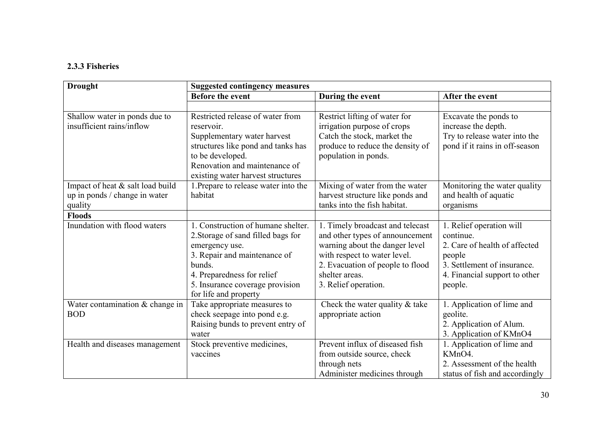#### 2.3.3 Fisheries

| <b>Drought</b>                                                               | <b>Suggested contingency measures</b>                                                                                                                                                                                          |                                                                                                                                                                                                                     |                                                                                                                                                             |  |
|------------------------------------------------------------------------------|--------------------------------------------------------------------------------------------------------------------------------------------------------------------------------------------------------------------------------|---------------------------------------------------------------------------------------------------------------------------------------------------------------------------------------------------------------------|-------------------------------------------------------------------------------------------------------------------------------------------------------------|--|
|                                                                              | <b>Before the event</b>                                                                                                                                                                                                        | During the event                                                                                                                                                                                                    | After the event                                                                                                                                             |  |
|                                                                              |                                                                                                                                                                                                                                |                                                                                                                                                                                                                     |                                                                                                                                                             |  |
| Shallow water in ponds due to<br>insufficient rains/inflow                   | Restricted release of water from<br>reservoir.<br>Supplementary water harvest<br>structures like pond and tanks has<br>to be developed.<br>Renovation and maintenance of<br>existing water harvest structures                  | Restrict lifting of water for<br>irrigation purpose of crops<br>Catch the stock, market the<br>produce to reduce the density of<br>population in ponds.                                                             | Excavate the ponds to<br>increase the depth.<br>Try to release water into the<br>pond if it rains in off-season                                             |  |
| Impact of heat & salt load build<br>up in ponds / change in water<br>quality | 1. Prepare to release water into the<br>habitat                                                                                                                                                                                | Mixing of water from the water<br>harvest structure like ponds and<br>tanks into the fish habitat.                                                                                                                  | Monitoring the water quality<br>and health of aquatic<br>organisms                                                                                          |  |
| <b>Floods</b>                                                                |                                                                                                                                                                                                                                |                                                                                                                                                                                                                     |                                                                                                                                                             |  |
| Inundation with flood waters                                                 | 1. Construction of humane shelter.<br>2. Storage of sand filled bags for<br>emergency use.<br>3. Repair and maintenance of<br>bunds.<br>4. Preparedness for relief<br>5. Insurance coverage provision<br>for life and property | 1. Timely broadcast and telecast<br>and other types of announcement<br>warning about the danger level<br>with respect to water level.<br>2. Evacuation of people to flood<br>shelter areas.<br>3. Relief operation. | 1. Relief operation will<br>continue.<br>2. Care of health of affected<br>people<br>3. Settlement of insurance.<br>4. Financial support to other<br>people. |  |
| Water contamination $&$ change in<br><b>BOD</b>                              | Take appropriate measures to<br>check seepage into pond e.g.<br>Raising bunds to prevent entry of<br>water                                                                                                                     | Check the water quality $\&$ take<br>appropriate action                                                                                                                                                             | 1. Application of lime and<br>geolite.<br>2. Application of Alum.<br>3. Application of KMnO4                                                                |  |
| Health and diseases management                                               | Stock preventive medicines,<br>vaccines                                                                                                                                                                                        | Prevent influx of diseased fish<br>from outside source, check<br>through nets<br>Administer medicines through                                                                                                       | 1. Application of lime and<br>KMnO4.<br>2. Assessment of the health<br>status of fish and accordingly                                                       |  |